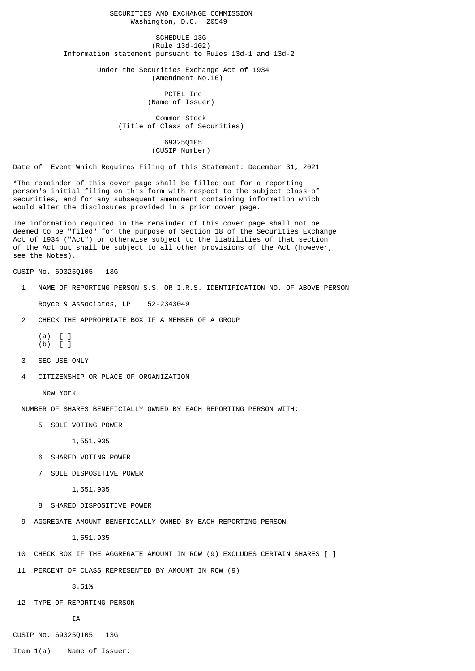SECURITIES AND EXCHANGE COMMISSION Washington, D.C. 20549

SCHEDULE 13G (Rule 13d-102) Information statement pursuant to Rules 13d-1 and 13d-2

> Under the Securities Exchange Act of 1934 (Amendment No.16)

> > PCTEL Inc (Name of Issuer)

 Common Stock (Title of Class of Securities)

> 69325Q105 (CUSIP Number)

Date of Event Which Requires Filing of this Statement: December 31, 2021

\*The remainder of this cover page shall be filled out for a reporting person's initial filing on this form with respect to the subject class of securities, and for any subsequent amendment containing information which would alter the disclosures provided in a prior cover page.

The information required in the remainder of this cover page shall not be deemed to be "filed" for the purpose of Section 18 of the Securities Exchange Act of 1934 ("Act") or otherwise subject to the liabilities of that section of the Act but shall be subject to all other provisions of the Act (however, see the Notes).

CUSIP No. 69325Q105 13G

1 NAME OF REPORTING PERSON S.S. OR I.R.S. IDENTIFICATION NO. OF ABOVE PERSON

Royce & Associates, LP 52-2343049

2 CHECK THE APPROPRIATE BOX IF A MEMBER OF A GROUP

$$
\begin{array}{cc} (a) & [~] \\ (b) & [~] \end{array}
$$

- 3 SEC USE ONLY
- 4 CITIZENSHIP OR PLACE OF ORGANIZATION

New York

NUMBER OF SHARES BENEFICIALLY OWNED BY EACH REPORTING PERSON WITH:

5 SOLE VOTING POWER

1,551,935

- 6 SHARED VOTING POWER
- 7 SOLE DISPOSITIVE POWER

1,551,935

8 SHARED DISPOSITIVE POWER

9 AGGREGATE AMOUNT BENEFICIALLY OWNED BY FACH REPORTING PERSON

1,551,935

10 CHECK BOX IF THE AGGREGATE AMOUNT IN ROW (9) EXCLUDES CERTAIN SHARES [ ]

11 PERCENT OF CLASS REPRESENTED BY AMOUNT IN ROW (9)

8.51%

12 TYPE OF REPORTING PERSON

IA

- CUSIP No. 69325Q105 13G
- Item 1(a) Name of Issuer: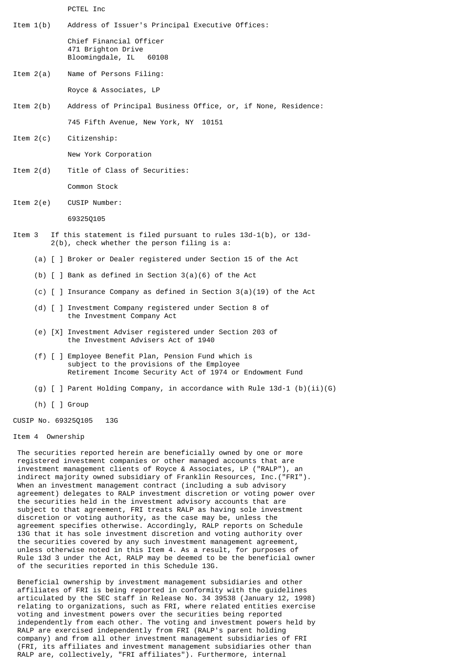PCTEL Inc

Item 1(b) Address of Issuer's Principal Executive Offices:

 Chief Financial Officer 471 Brighton Drive Bloomingdale, IL 60108

- Item 2(a) Name of Persons Filing: Royce & Associates, LP
- Item 2(b) Address of Principal Business Office, or, if None, Residence: 745 Fifth Avenue, New York, NY 10151
- Item 2(c) Citizenship:

New York Corporation

- Item 2(d) Title of Class of Securities: Common Stock
- Item 2(e) CUSIP Number:

69325Q105

- Item 3 If this statement is filed pursuant to rules 13d-1(b), or 13d- 2(b), check whether the person filing is a:
	- (a) [ ] Broker or Dealer registered under Section 15 of the Act
	- (b) [ ] Bank as defined in Section 3(a)(6) of the Act
	- (c)  $\lceil$  ] Insurance Company as defined in Section 3(a)(19) of the Act
	- (d) [ ] Investment Company registered under Section 8 of the Investment Company Act
	- (e) [X] Investment Adviser registered under Section 203 of the Investment Advisers Act of 1940
	- (f) [ ] Employee Benefit Plan, Pension Fund which is subject to the provisions of the Employee Retirement Income Security Act of 1974 or Endowment Fund
	- (g)  $\lceil$  ] Parent Holding Company, in accordance with Rule 13d-1 (b)(ii)(G)
	- (h) [ ] Group
- CUSIP No. 69325Q105 13G

## Item 4 Ownership

 The securities reported herein are beneficially owned by one or more registered investment companies or other managed accounts that are investment management clients of Royce & Associates, LP ("RALP"), an indirect majority owned subsidiary of Franklin Resources, Inc.("FRI"). When an investment management contract (including a sub advisory agreement) delegates to RALP investment discretion or voting power over the securities held in the investment advisory accounts that are subject to that agreement, FRI treats RALP as having sole investment discretion or voting authority, as the case may be, unless the agreement specifies otherwise. Accordingly, RALP reports on Schedule 13G that it has sole investment discretion and voting authority over the securities covered by any such investment management agreement, unless otherwise noted in this Item 4. As a result, for purposes of Rule 13d 3 under the Act, RALP may be deemed to be the beneficial owner of the securities reported in this Schedule 13G.

 Beneficial ownership by investment management subsidiaries and other affiliates of FRI is being reported in conformity with the guidelines articulated by the SEC staff in Release No. 34 39538 (January 12, 1998) relating to organizations, such as FRI, where related entities exercise voting and investment powers over the securities being reported independently from each other. The voting and investment powers held by RALP are exercised independently from FRI (RALP's parent holding company) and from all other investment management subsidiaries of FRI (FRI, its affiliates and investment management subsidiaries other than RALP are, collectively, "FRI affiliates"). Furthermore, internal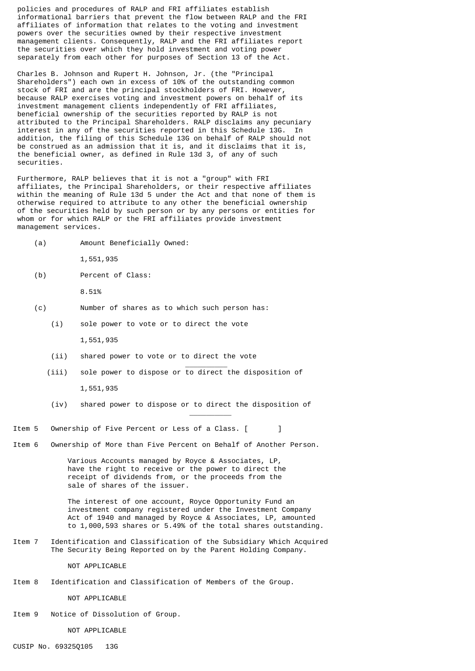policies and procedures of RALP and FRI affiliates establish informational barriers that prevent the flow between RALP and the FRI affiliates of information that relates to the voting and investment powers over the securities owned by their respective investment management clients. Consequently, RALP and the FRI affiliates report the securities over which they hold investment and voting power separately from each other for purposes of Section 13 of the Act.

 Charles B. Johnson and Rupert H. Johnson, Jr. (the "Principal Shareholders") each own in excess of 10% of the outstanding common stock of FRI and are the principal stockholders of FRI. However, because RALP exercises voting and investment powers on behalf of its investment management clients independently of FRI affiliates, beneficial ownership of the securities reported by RALP is not attributed to the Principal Shareholders. RALP disclaims any pecuniary interest in any of the securities reported in this Schedule 13G. In addition, the filing of this Schedule 13G on behalf of RALP should not be construed as an admission that it is, and it disclaims that it is, the beneficial owner, as defined in Rule 13d 3, of any of such securities.

 Furthermore, RALP believes that it is not a "group" with FRI affiliates, the Principal Shareholders, or their respective affiliates within the meaning of Rule 13d 5 under the Act and that none of them is otherwise required to attribute to any other the beneficial ownership of the securities held by such person or by any persons or entities for whom or for which RALP or the FRI affiliates provide investment management services.

(a) Amount Beneficially Owned:

1,551,935

(b) Percent of Class:

8.51%

- (c) Number of shares as to which such person has:
	- (i) sole power to vote or to direct the vote

1,551,935

\_\_\_\_\_\_\_\_\_\_

\_\_\_\_\_\_\_\_\_\_

- (ii) shared power to vote or to direct the vote
- (iii) sole power to dispose or to direct the disposition of 1,551,935
- (iv) shared power to dispose or to direct the disposition of
- Item 5 Ownership of Five Percent or Less of a Class. [ ]
- Item 6 Ownership of More than Five Percent on Behalf of Another Person.

 Various Accounts managed by Royce & Associates, LP, have the right to receive or the power to direct the receipt of dividends from, or the proceeds from the sale of shares of the issuer.

 The interest of one account, Royce Opportunity Fund an investment company registered under the Investment Company Act of 1940 and managed by Royce & Associates, LP, amounted to 1,000,593 shares or 5.49% of the total shares outstanding.

Item 7 Identification and Classification of the Subsidiary Which Acquired The Security Being Reported on by the Parent Holding Company.

NOT APPLICABLE

Item 8 Identification and Classification of Members of the Group.

NOT APPLICABLE

Item 9 Notice of Dissolution of Group.

NOT APPLICABLE

CUSIP No. 69325Q105 13G